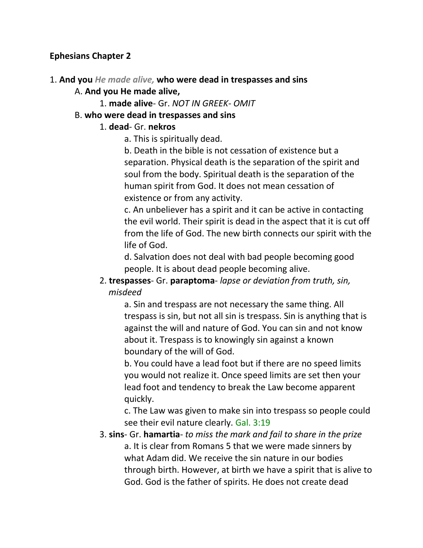#### **Ephesians Chapter 2**

1. **And you** *He made alive,* **who were dead in trespasses and sins**

#### A. **And you He made alive,**

1. **made alive**- Gr. *NOT IN GREEK- OMIT*

#### B. **who were dead in trespasses and sins**

#### 1. **dead**- Gr. **nekros**

a. This is spiritually dead.

b. Death in the bible is not cessation of existence but a separation. Physical death is the separation of the spirit and soul from the body. Spiritual death is the separation of the human spirit from God. It does not mean cessation of existence or from any activity.

c. An unbeliever has a spirit and it can be active in contacting the evil world. Their spirit is dead in the aspect that it is cut off from the life of God. The new birth connects our spirit with the life of God.

d. Salvation does not deal with bad people becoming good people. It is about dead people becoming alive.

#### 2. **trespasses**- Gr. **paraptoma**- *lapse or deviation from truth, sin, misdeed*

a. Sin and trespass are not necessary the same thing. All trespass is sin, but not all sin is trespass. Sin is anything that is against the will and nature of God. You can sin and not know about it. Trespass is to knowingly sin against a known boundary of the will of God.

b. You could have a lead foot but if there are no speed limits you would not realize it. Once speed limits are set then your lead foot and tendency to break the Law become apparent quickly.

c. The Law was given to make sin into trespass so people could see their evil nature clearly. Gal. 3:19

# 3. **sins**- Gr. **hamartia**- *to miss the mark and fail to share in the prize*

a. It is clear from Romans 5 that we were made sinners by what Adam did. We receive the sin nature in our bodies through birth. However, at birth we have a spirit that is alive to God. God is the father of spirits. He does not create dead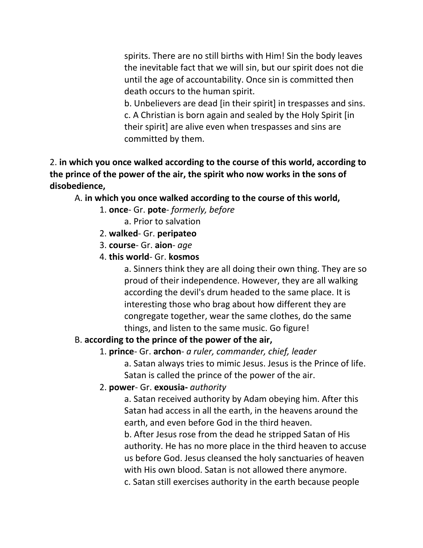spirits. There are no still births with Him! Sin the body leaves the inevitable fact that we will sin, but our spirit does not die until the age of accountability. Once sin is committed then death occurs to the human spirit.

b. Unbelievers are dead [in their spirit] in trespasses and sins. c. A Christian is born again and sealed by the Holy Spirit [in their spirit] are alive even when trespasses and sins are committed by them.

2. **in which you once walked according to the course of this world, according to the prince of the power of the air, the spirit who now works in the sons of disobedience,**

A. **in which you once walked according to the course of this world,**

- 1. **once** Gr. **pote** *formerly, before*
	- a. Prior to salvation
- 2. **walked** Gr. **peripateo**
- 3. **course** Gr. **aion** *age*
- 4. **this world** Gr. **kosmos**

a. Sinners think they are all doing their own thing. They are so proud of their independence. However, they are all walking according the devil's drum headed to the same place. It is interesting those who brag about how different they are congregate together, wear the same clothes, do the same things, and listen to the same music. Go figure!

#### B. **according to the prince of the power of the air,**

# 1. **prince**- Gr. **archon**- *a ruler, commander, chief, leader*

a. Satan always tries to mimic Jesus. Jesus is the Prince of life. Satan is called the prince of the power of the air.

#### 2. **power**- Gr. **exousia-** *authority*

a. Satan received authority by Adam obeying him. After this Satan had access in all the earth, in the heavens around the earth, and even before God in the third heaven.

b. After Jesus rose from the dead he stripped Satan of His authority. He has no more place in the third heaven to accuse us before God. Jesus cleansed the holy sanctuaries of heaven with His own blood. Satan is not allowed there anymore. c. Satan still exercises authority in the earth because people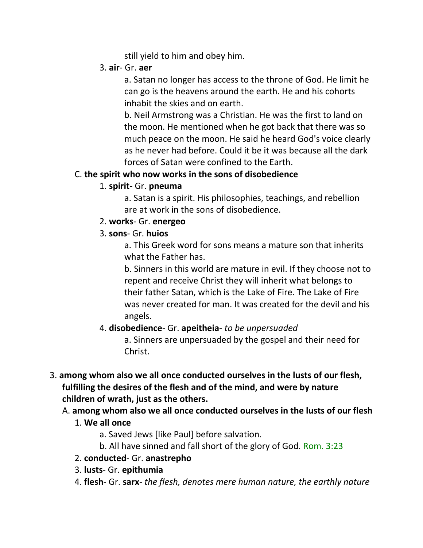still yield to him and obey him.

3. **air**- Gr. **aer**

a. Satan no longer has access to the throne of God. He limit he can go is the heavens around the earth. He and his cohorts inhabit the skies and on earth.

b. Neil Armstrong was a Christian. He was the first to land on the moon. He mentioned when he got back that there was so much peace on the moon. He said he heard God's voice clearly as he never had before. Could it be it was because all the dark forces of Satan were confined to the Earth.

# C. **the spirit who now works in the sons of disobedience**

1. **spirit-** Gr. **pneuma**

a. Satan is a spirit. His philosophies, teachings, and rebellion are at work in the sons of disobedience.

- 2. **works** Gr. **energeo**
- 3. **sons** Gr. **huios**

a. This Greek word for sons means a mature son that inherits what the Father has.

b. Sinners in this world are mature in evil. If they choose not to repent and receive Christ they will inherit what belongs to their father Satan, which is the Lake of Fire. The Lake of Fire was never created for man. It was created for the devil and his angels.

4. **disobedience**- Gr. **apeitheia**- *to be unpersuaded*

a. Sinners are unpersuaded by the gospel and their need for Christ.

- 3. **among whom also we all once conducted ourselves in the lusts of our flesh, fulfilling the desires of the flesh and of the mind, and were by nature children of wrath, just as the others.** 
	- A. **among whom also we all once conducted ourselves in the lusts of our flesh**
		- 1. **We all once**
			- a. Saved Jews [like Paul] before salvation.
			- b. All have sinned and fall short of the glory of God. Rom. 3:23
		- 2. **conducted** Gr. **anastrepho**
		- 3. **lusts** Gr. **epithumia**
		- 4. **flesh** Gr. **sarx** *the flesh, denotes mere human nature, the earthly nature*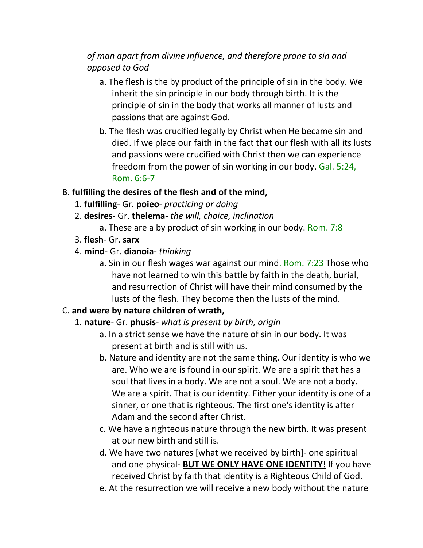# *of man apart from divine influence, and therefore prone to sin and opposed to God*

- a. The flesh is the by product of the principle of sin in the body. We inherit the sin principle in our body through birth. It is the principle of sin in the body that works all manner of lusts and passions that are against God.
- b. The flesh was crucified legally by Christ when He became sin and died. If we place our faith in the fact that our flesh with all its lusts and passions were crucified with Christ then we can experience freedom from the power of sin working in our body. Gal. 5:24, Rom. 6:6-7

#### B. **fulfilling the desires of the flesh and of the mind,**

- 1. **fulfilling** Gr. **poieo** *practicing or doing*
- 2. **desires** Gr. **thelema** *the will, choice, inclination*
	- a. These are a by product of sin working in our body. Rom. 7:8
- 3. **flesh** Gr. **sarx**
- 4. **mind** Gr. **dianoia** *thinking*
	- a. Sin in our flesh wages war against our mind. Rom. 7:23 Those who have not learned to win this battle by faith in the death, burial, and resurrection of Christ will have their mind consumed by the lusts of the flesh. They become then the lusts of the mind.

# C. **and were by nature children of wrath,**

# 1. **nature**- Gr. **phusis**- *what is present by birth, origin*

- a. In a strict sense we have the nature of sin in our body. It was present at birth and is still with us.
- b. Nature and identity are not the same thing. Our identity is who we are. Who we are is found in our spirit. We are a spirit that has a soul that lives in a body. We are not a soul. We are not a body. We are a spirit. That is our identity. Either your identity is one of a sinner, or one that is righteous. The first one's identity is after Adam and the second after Christ.
- c. We have a righteous nature through the new birth. It was present at our new birth and still is.
- d. We have two natures [what we received by birth]- one spiritual and one physical- **BUT WE ONLY HAVE ONE IDENTITY!** If you have received Christ by faith that identity is a Righteous Child of God.
- e. At the resurrection we will receive a new body without the nature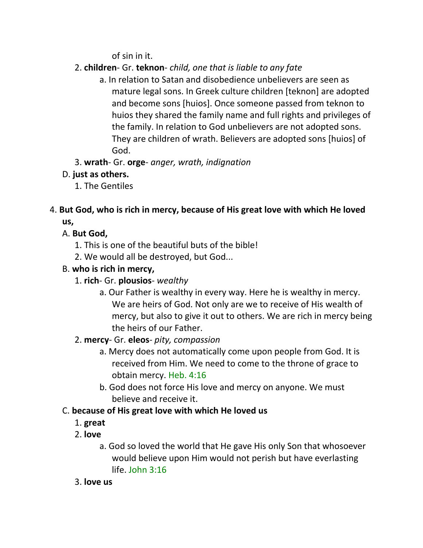of sin in it.

- 2. **children** Gr. **teknon** *child, one that is liable to any fate*
	- a. In relation to Satan and disobedience unbelievers are seen as mature legal sons. In Greek culture children [teknon] are adopted and become sons [huios]. Once someone passed from teknon to huios they shared the family name and full rights and privileges of the family. In relation to God unbelievers are not adopted sons. They are children of wrath. Believers are adopted sons [huios] of God.
- 3. **wrath** Gr. **orge** *anger, wrath, indignation*

# D. **just as others.**

1. The Gentiles

# 4. **But God, who is rich in mercy, because of His great love with which He loved us,**

# A. **But God,**

- 1. This is one of the beautiful buts of the bible!
- 2. We would all be destroyed, but God...

# B. **who is rich in mercy,**

- 1. **rich** Gr. **plousios** *wealthy*
	- a. Our Father is wealthy in every way. Here he is wealthy in mercy. We are heirs of God. Not only are we to receive of His wealth of mercy, but also to give it out to others. We are rich in mercy being the heirs of our Father.

# 2. **mercy**- Gr. **eleos**- *pity, compassion*

- a. Mercy does not automatically come upon people from God. It is received from Him. We need to come to the throne of grace to obtain mercy. Heb. 4:16
- b. God does not force His love and mercy on anyone. We must believe and receive it.

# C. **because of His great love with which He loved us**

- 1. **great**
- 2. **love**
	- a. God so loved the world that He gave His only Son that whosoever would believe upon Him would not perish but have everlasting  $l$ ife. John 3:16
- 3. **love us**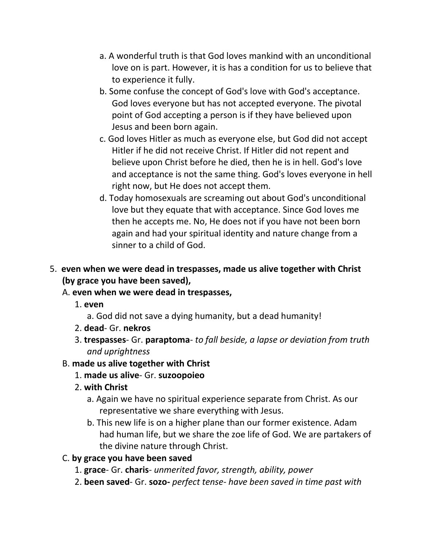- a. A wonderful truth is that God loves mankind with an unconditional love on is part. However, it is has a condition for us to believe that to experience it fully.
- b. Some confuse the concept of God's love with God's acceptance. God loves everyone but has not accepted everyone. The pivotal point of God accepting a person is if they have believed upon Jesus and been born again.
- c. God loves Hitler as much as everyone else, but God did not accept Hitler if he did not receive Christ. If Hitler did not repent and believe upon Christ before he died, then he is in hell. God's love and acceptance is not the same thing. God's loves everyone in hell right now, but He does not accept them.
- d. Today homosexuals are screaming out about God's unconditional love but they equate that with acceptance. Since God loves me then he accepts me. No, He does not if you have not been born again and had your spiritual identity and nature change from a sinner to a child of God.
- 5. **even when we were dead in trespasses, made us alive together with Christ (by grace you have been saved),** 
	- A. **even when we were dead in trespasses,**
		- 1. **even**
			- a. God did not save a dying humanity, but a dead humanity!
		- 2. **dead** Gr. **nekros**
		- 3. **trespasses** Gr. **paraptoma** *to fall beside, a lapse or deviation from truth and uprightness*
	- B. **made us alive together with Christ**
		- 1. **made us alive** Gr. **suzoopoieo**
		- 2. **with Christ**
			- a. Again we have no spiritual experience separate from Christ. As our representative we share everything with Jesus.
			- b. This new life is on a higher plane than our former existence. Adam had human life, but we share the zoe life of God. We are partakers of the divine nature through Christ.

# C. **by grace you have been saved**

- 1. **grace** Gr. **charis** *unmerited favor, strength, ability, power*
- 2. **been saved** Gr. **sozo-** *perfect tense- have been saved in time past with*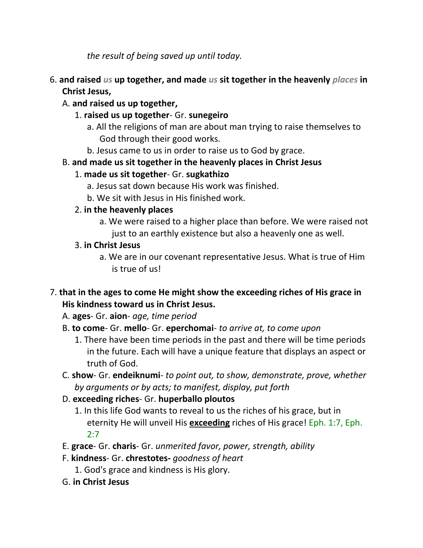*the result of being saved up until today.*

- 6. **and raised** *us* **up together, and made** *us* **sit together in the heavenly** *places* **in Christ Jesus,**
	- A. **and raised us up together,**
		- 1. **raised us up together** Gr. **sunegeiro**
			- a. All the religions of man are about man trying to raise themselves to God through their good works.
			- b. Jesus came to us in order to raise us to God by grace.
	- B. **and made us sit together in the heavenly places in Christ Jesus**
		- 1. **made us sit together** Gr. **sugkathizo**
			- a. Jesus sat down because His work was finished.
			- b. We sit with Jesus in His finished work.
		- 2. **in the heavenly places**
			- a. We were raised to a higher place than before. We were raised not just to an earthly existence but also a heavenly one as well.
		- 3. **in Christ Jesus**
			- a. We are in our covenant representative Jesus. What is true of Him is true of us!
- 7. **that in the ages to come He might show the exceeding riches of His grace in His kindness toward us in Christ Jesus.**

A. **ages**- Gr. **aion**- *age, time period*

- B. **to come** Gr. **mello** Gr. **eperchomai** *to arrive at, to come upon*
	- 1. There have been time periods in the past and there will be time periods in the future. Each will have a unique feature that displays an aspect or truth of God.
- C. **show** Gr. **endeiknumi** *to point out, to show, demonstrate, prove, whether by arguments or by acts; to manifest, display, put forth*
- D. **exceeding riches** Gr. **huperballo ploutos**
	- 1. In this life God wants to reveal to us the riches of his grace, but in eternity He will unveil His **exceeding** riches of His grace! Eph. 1:7, Eph. 2:7
- E. **grace** Gr. **charis** Gr. *unmerited favor, power, strength, ability*
- F. **kindness** Gr. **chrestotes-** *goodness of heart*
	- 1. God's grace and kindness is His glory.
- G. **in Christ Jesus**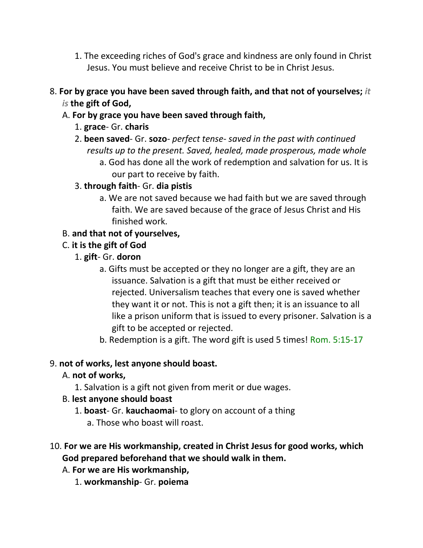- 1. The exceeding riches of God's grace and kindness are only found in Christ Jesus. You must believe and receive Christ to be in Christ Jesus.
- 8. **For by grace you have been saved through faith, and that not of yourselves;** *it is* **the gift of God,**
	- A. **For by grace you have been saved through faith,**
		- 1. **grace** Gr. **charis**
		- 2. **been saved** Gr. **sozo** *perfect tense- saved in the past with continued results up to the present. Saved, healed, made prosperous, made whole*
			- a. God has done all the work of redemption and salvation for us. It is our part to receive by faith.
		- 3. **through faith** Gr. **dia pistis**
			- a. We are not saved because we had faith but we are saved through faith. We are saved because of the grace of Jesus Christ and His finished work.

#### B. **and that not of yourselves,**

- C. **it is the gift of God**
	- 1. **gift** Gr. **doron**
		- a. Gifts must be accepted or they no longer are a gift, they are an issuance. Salvation is a gift that must be either received or rejected. Universalism teaches that every one is saved whether they want it or not. This is not a gift then; it is an issuance to all like a prison uniform that is issued to every prisoner. Salvation is a gift to be accepted or rejected.
		- b. Redemption is a gift. The word gift is used 5 times! Rom. 5:15-17

#### 9. **not of works, lest anyone should boast.**

- A. **not of works,**
	- 1. Salvation is a gift not given from merit or due wages.

#### B. **lest anyone should boast**

- 1. **boast** Gr. **kauchaomai** to glory on account of a thing
	- a. Those who boast will roast.
- 10. **For we are His workmanship, created in Christ Jesus for good works, which God prepared beforehand that we should walk in them.**
	- A. **For we are His workmanship,**
		- 1. **workmanship** Gr. **poiema**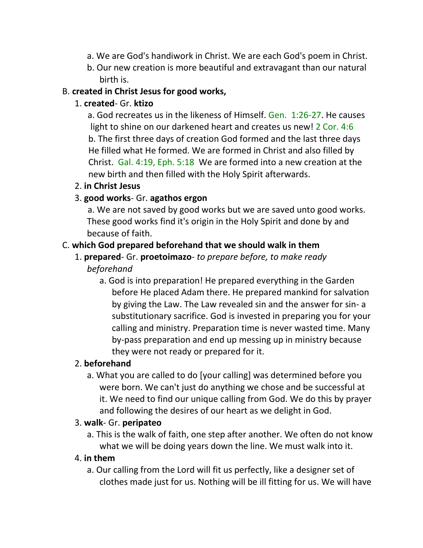- a. We are God's handiwork in Christ. We are each God's poem in Christ.
- b. Our new creation is more beautiful and extravagant than our natural birth is.

#### B. **created in Christ Jesus for good works,**

#### 1. **created**- Gr. **ktizo**

 a. God recreates us in the likeness of Himself. Gen. 1:26-27. He causes light to shine on our darkened heart and creates us new! 2 Cor. 4:6 b. The first three days of creation God formed and the last three days He filled what He formed. We are formed in Christ and also filled by Christ. Gal. 4:19, Eph. 5:18 We are formed into a new creation at the new birth and then filled with the Holy Spirit afterwards.

#### 2. **in Christ Jesus**

#### 3. **good works**- Gr. **agathos ergon**

 a. We are not saved by good works but we are saved unto good works. These good works find it's origin in the Holy Spirit and done by and because of faith.

#### C. **which God prepared beforehand that we should walk in them**

#### 1. **prepared**- Gr. **proetoimazo**- *to prepare before, to make ready beforehand*

a. God is into preparation! He prepared everything in the Garden before He placed Adam there. He prepared mankind for salvation by giving the Law. The Law revealed sin and the answer for sin- a substitutionary sacrifice. God is invested in preparing you for your calling and ministry. Preparation time is never wasted time. Many by-pass preparation and end up messing up in ministry because they were not ready or prepared for it.

# 2. **beforehand**

a. What you are called to do [your calling] was determined before you were born. We can't just do anything we chose and be successful at it. We need to find our unique calling from God. We do this by prayer and following the desires of our heart as we delight in God.

#### 3. **walk**- Gr. **peripateo**

a. This is the walk of faith, one step after another. We often do not know what we will be doing years down the line. We must walk into it.

# 4. **in them**

a. Our calling from the Lord will fit us perfectly, like a designer set of clothes made just for us. Nothing will be ill fitting for us. We will have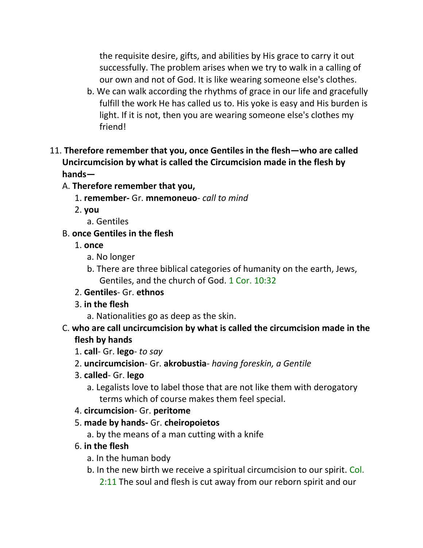the requisite desire, gifts, and abilities by His grace to carry it out successfully. The problem arises when we try to walk in a calling of our own and not of God. It is like wearing someone else's clothes.

- b. We can walk according the rhythms of grace in our life and gracefully fulfill the work He has called us to. His yoke is easy and His burden is light. If it is not, then you are wearing someone else's clothes my friend!
- 11. **Therefore remember that you, once Gentiles in the flesh—who are called Uncircumcision by what is called the Circumcision made in the flesh by hands—**
	- A. **Therefore remember that you,**
		- 1. **remember-** Gr. **mnemoneuo** *call to mind*
		- 2. **you**
			- a. Gentiles
	- B. **once Gentiles in the flesh**
		- 1. **once**
			- a. No longer
			- b. There are three biblical categories of humanity on the earth, Jews, Gentiles, and the church of God. 1 Cor. 10:32
		- 2. **Gentiles** Gr. **ethnos**
		- 3. **in the flesh**
			- a. Nationalities go as deep as the skin.
	- C. **who are call uncircumcision by what is called the circumcision made in the flesh by hands**
		- 1. **call** Gr. **lego** *to say*
		- 2. **uncircumcision** Gr. **akrobustia** *having foreskin, a Gentile*
		- 3. **called** Gr. **lego**
			- a. Legalists love to label those that are not like them with derogatory terms which of course makes them feel special.
		- 4. **circumcision** Gr. **peritome**
		- 5. **made by hands-** Gr. **cheiropoietos**
			- a. by the means of a man cutting with a knife
		- 6. **in the flesh**
			- a. In the human body
			- b. In the new birth we receive a spiritual circumcision to our spirit. Col. 2:11 The soul and flesh is cut away from our reborn spirit and our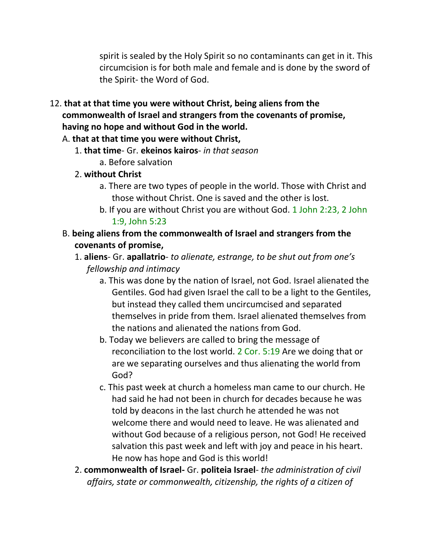spirit is sealed by the Holy Spirit so no contaminants can get in it. This circumcision is for both male and female and is done by the sword of the Spirit- the Word of God.

- 12. **that at that time you were without Christ, being aliens from the commonwealth of Israel and strangers from the covenants of promise, having no hope and without God in the world.** 
	- A. **that at that time you were without Christ,**
		- 1. **that time** Gr. **ekeinos kairos** *in that season*
			- a. Before salvation
		- 2. **without Christ**
			- a. There are two types of people in the world. Those with Christ and those without Christ. One is saved and the other is lost.
			- b. If you are without Christ you are without God. 1 John 2:23, 2 John 1:9, John 5:23
	- B. **being aliens from the commonwealth of Israel and strangers from the covenants of promise,**
		- 1. **aliens** Gr. **apallatrio** *to alienate, estrange, to be shut out from one's fellowship and intimacy*
			- a. This was done by the nation of Israel, not God. Israel alienated the Gentiles. God had given Israel the call to be a light to the Gentiles, but instead they called them uncircumcised and separated themselves in pride from them. Israel alienated themselves from the nations and alienated the nations from God.
			- b. Today we believers are called to bring the message of reconciliation to the lost world. 2 Cor. 5:19 Are we doing that or are we separating ourselves and thus alienating the world from God?
			- c. This past week at church a homeless man came to our church. He had said he had not been in church for decades because he was told by deacons in the last church he attended he was not welcome there and would need to leave. He was alienated and without God because of a religious person, not God! He received salvation this past week and left with joy and peace in his heart. He now has hope and God is this world!
		- 2. **commonwealth of Israel-** Gr. **politeia Israel** *the administration of civil affairs, state or commonwealth, citizenship, the rights of a citizen of*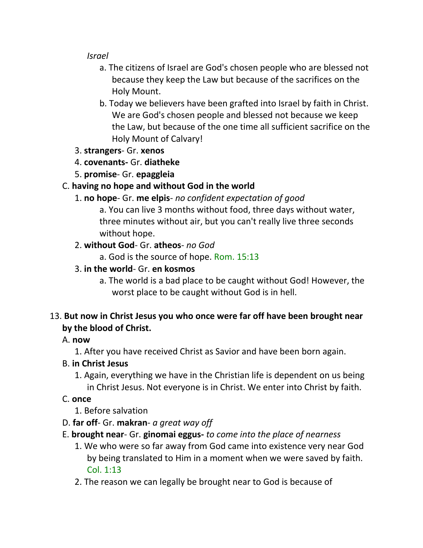*Israel*

- a. The citizens of Israel are God's chosen people who are blessed not because they keep the Law but because of the sacrifices on the Holy Mount.
- b. Today we believers have been grafted into Israel by faith in Christ. We are God's chosen people and blessed not because we keep the Law, but because of the one time all sufficient sacrifice on the Holy Mount of Calvary!
- 3. **strangers** Gr. **xenos**
- 4. **covenants-** Gr. **diatheke**
- 5. **promise** Gr. **epaggleia**

# C. **having no hope and without God in the world**

1. **no hope**- Gr. **me elpis**- *no confident expectation of good*

a. You can live 3 months without food, three days without water, three minutes without air, but you can't really live three seconds without hope.

# 2. **without God**- Gr. **atheos**- *no God*

a. God is the source of hope. Rom. 15:13

# 3. **in the world**- Gr. **en kosmos**

a. The world is a bad place to be caught without God! However, the worst place to be caught without God is in hell.

# 13. **But now in Christ Jesus you who once were far off have been brought near by the blood of Christ.**

# A. **now**

1. After you have received Christ as Savior and have been born again.

# B. **in Christ Jesus**

1. Again, everything we have in the Christian life is dependent on us being in Christ Jesus. Not everyone is in Christ. We enter into Christ by faith.

# C. **once**

- 1. Before salvation
- D. **far off** Gr. **makran** *a great way off*
- E. **brought near** Gr. **ginomai eggus-** *to come into the place of nearness*
	- 1. We who were so far away from God came into existence very near God by being translated to Him in a moment when we were saved by faith. Col. 1:13
	- 2. The reason we can legally be brought near to God is because of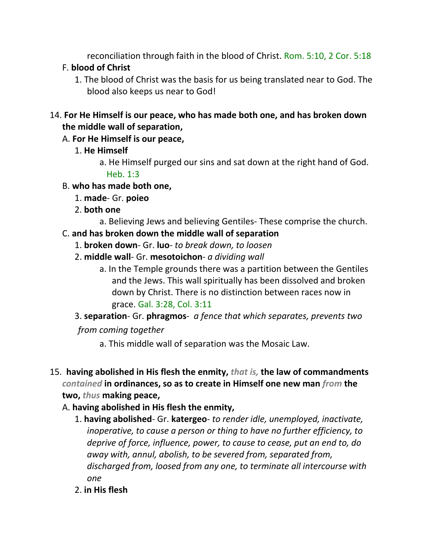reconciliation through faith in the blood of Christ. Rom. 5:10, 2 Cor. 5:18

# F. **blood of Christ**

1. The blood of Christ was the basis for us being translated near to God. The blood also keeps us near to God!

#### 14. **For He Himself is our peace, who has made both one, and has broken down the middle wall of separation,**

# A. **For He Himself is our peace,**

- 1. **He Himself**
	- a. He Himself purged our sins and sat down at the right hand of God. Heb. 1:3
- B. **who has made both one,**
	- 1. **made** Gr. **poieo**
	- 2. **both one**
		- a. Believing Jews and believing Gentiles- These comprise the church.

# C. **and has broken down the middle wall of separation**

- 1. **broken down** Gr. **luo** *to break down, to loosen*
- 2. **middle wall** Gr. **mesotoichon** *a dividing wall*
	- a. In the Temple grounds there was a partition between the Gentiles and the Jews. This wall spiritually has been dissolved and broken down by Christ. There is no distinction between races now in grace. Gal. 3:28, Col. 3:11

# 3. **separation**- Gr. **phragmos**- *a fence that which separates, prevents two*

# *from coming together*

- a. This middle wall of separation was the Mosaic Law.
- 15. **having abolished in His flesh the enmity,** *that is,* **the law of commandments**  *contained* **in ordinances, so as to create in Himself one new man** *from* **the two,** *thus* **making peace,**

# A. **having abolished in His flesh the enmity,**

- 1. **having abolished** Gr. **katergeo** *to render idle, unemployed, inactivate, inoperative, to cause a person or thing to have no further efficiency, to deprive of force, influence, power, to cause to cease, put an end to, do away with, annul, abolish, to be severed from, separated from, discharged from, loosed from any one, to terminate all intercourse with one*
- 2. **in His flesh**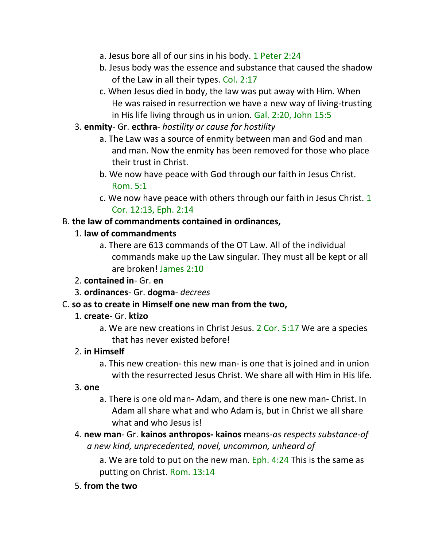- a. Jesus bore all of our sins in his body. 1 Peter 2:24
- b. Jesus body was the essence and substance that caused the shadow of the Law in all their types. Col. 2:17
- c. When Jesus died in body, the law was put away with Him. When He was raised in resurrection we have a new way of living-trusting in His life living through us in union. Gal. 2:20, John 15:5
- 3. **enmity** Gr. **ecthra** *hostility or cause for hostility*
	- a. The Law was a source of enmity between man and God and man and man. Now the enmity has been removed for those who place their trust in Christ.
	- b. We now have peace with God through our faith in Jesus Christ. Rom. 5:1
	- c. We now have peace with others through our faith in Jesus Christ. 1 Cor. 12:13, Eph. 2:14

#### B. **the law of commandments contained in ordinances,**

#### 1. **law of commandments**

- a. There are 613 commands of the OT Law. All of the individual commands make up the Law singular. They must all be kept or all are broken! James 2:10
- 2. **contained in** Gr. **en**
- 3. **ordinances** Gr. **dogma** *decrees*

#### C. **so as to create in Himself one new man from the two,**

- 1. **create** Gr. **ktizo**
	- a. We are new creations in Christ Jesus. 2 Cor. 5:17 We are a species that has never existed before!

#### 2. **in Himself**

a. This new creation- this new man- is one that is joined and in union with the resurrected Jesus Christ. We share all with Him in His life.

#### 3. **one**

- a. There is one old man- Adam, and there is one new man- Christ. In Adam all share what and who Adam is, but in Christ we all share what and who Jesus is!
- 4. **new man** Gr. **kainos anthropos- kainos** means-*as respects substance-of a new kind, unprecedented, novel, uncommon, unheard of*

a. We are told to put on the new man. Eph. 4:24 This is the same as putting on Christ. Rom. 13:14

#### 5. **from the two**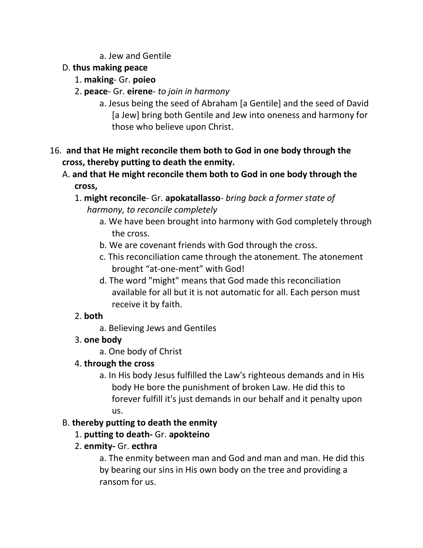a. Jew and Gentile

### D. **thus making peace**

- 1. **making** Gr. **poieo**
- 2. **peace** Gr. **eirene** *to join in harmony*
	- a. Jesus being the seed of Abraham [a Gentile] and the seed of David [a Jew] bring both Gentile and Jew into oneness and harmony for those who believe upon Christ.

# 16. **and that He might reconcile them both to God in one body through the cross, thereby putting to death the enmity.**

- A. **and that He might reconcile them both to God in one body through the cross,**
	- 1. **might reconcile** Gr. **apokatallasso** *bring back a former state of harmony, to reconcile completely*
		- a. We have been brought into harmony with God completely through the cross.
		- b. We are covenant friends with God through the cross.
		- c. This reconciliation came through the atonement. The atonement brought "at-one-ment" with God!
		- d. The word "might" means that God made this reconciliation available for all but it is not automatic for all. Each person must receive it by faith.

# 2. **both**

a. Believing Jews and Gentiles

# 3. **one body**

a. One body of Christ

# 4. **through the cross**

a. In His body Jesus fulfilled the Law's righteous demands and in His body He bore the punishment of broken Law. He did this to forever fulfill it's just demands in our behalf and it penalty upon us.

# B. **thereby putting to death the enmity**

- 1. **putting to death-** Gr. **apokteino**
- 2. **enmity-** Gr. **ecthra**

a. The enmity between man and God and man and man. He did this by bearing our sins in His own body on the tree and providing a ransom for us.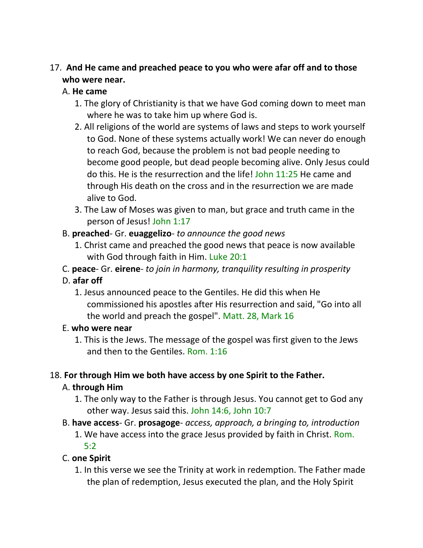#### 17. **And He came and preached peace to you who were afar off and to those who were near.**

#### A. **He came**

- 1. The glory of Christianity is that we have God coming down to meet man where he was to take him up where God is.
- 2. All religions of the world are systems of laws and steps to work yourself to God. None of these systems actually work! We can never do enough to reach God, because the problem is not bad people needing to become good people, but dead people becoming alive. Only Jesus could do this. He is the resurrection and the life! John 11:25 He came and through His death on the cross and in the resurrection we are made alive to God.
- 3. The Law of Moses was given to man, but grace and truth came in the person of Jesus! John 1:17

#### B. **preached**- Gr. **euaggelizo**- *to announce the good news*

- 1. Christ came and preached the good news that peace is now available with God through faith in Him. Luke 20:1
- C. **peace** Gr. **eirene** *to join in harmony, tranquility resulting in prosperity*

# D. **afar off**

1. Jesus announced peace to the Gentiles. He did this when He commissioned his apostles after His resurrection and said, "Go into all the world and preach the gospel". Matt. 28, Mark 16

#### E. **who were near**

1. This is the Jews. The message of the gospel was first given to the Jews and then to the Gentiles. Rom. 1:16

# 18. **For through Him we both have access by one Spirit to the Father.**

# A. **through Him**

- 1. The only way to the Father is through Jesus. You cannot get to God any other way. Jesus said this. John 14:6, John 10:7
- B. **have access** Gr. **prosagoge** *access, approach, a bringing to, introduction*
	- 1. We have access into the grace Jesus provided by faith in Christ. Rom. 5:2

# C. **one Spirit**

1. In this verse we see the Trinity at work in redemption. The Father made the plan of redemption, Jesus executed the plan, and the Holy Spirit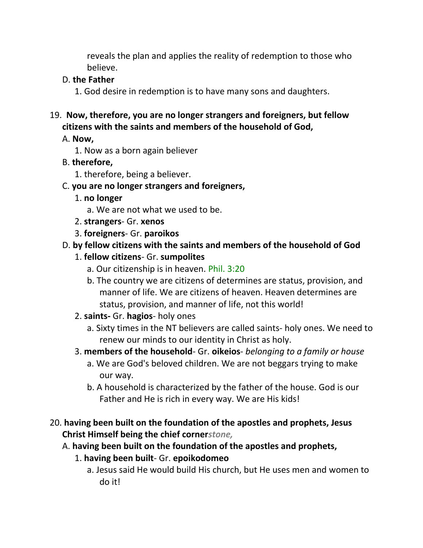reveals the plan and applies the reality of redemption to those who believe.

#### D. **the Father**

1. God desire in redemption is to have many sons and daughters.

#### 19. **Now, therefore, you are no longer strangers and foreigners, but fellow citizens with the saints and members of the household of God,**

#### A. **Now,**

1. Now as a born again believer

#### B. **therefore,**

1. therefore, being a believer.

#### C. **you are no longer strangers and foreigners,**

- 1. **no longer**
	- a. We are not what we used to be.
- 2. **strangers** Gr. **xenos**
- 3. **foreigners** Gr. **paroikos**

# D. **by fellow citizens with the saints and members of the household of God**

#### 1. **fellow citizens**- Gr. **sumpolites**

- a. Our citizenship is in heaven. Phil. 3:20
- b. The country we are citizens of determines are status, provision, and manner of life. We are citizens of heaven. Heaven determines are status, provision, and manner of life, not this world!
- 2. **saints-** Gr. **hagios** holy ones
	- a. Sixty times in the NT believers are called saints- holy ones. We need to renew our minds to our identity in Christ as holy.
- 3. **members of the household** Gr. **oikeios** *belonging to a family or house*
	- a. We are God's beloved children. We are not beggars trying to make our way.
	- b. A household is characterized by the father of the house. God is our Father and He is rich in every way. We are His kids!
- 20. **having been built on the foundation of the apostles and prophets, Jesus Christ Himself being the chief corner***stone,*
	- A. **having been built on the foundation of the apostles and prophets,**
		- 1. **having been built** Gr. **epoikodomeo**
			- a. Jesus said He would build His church, but He uses men and women to do it!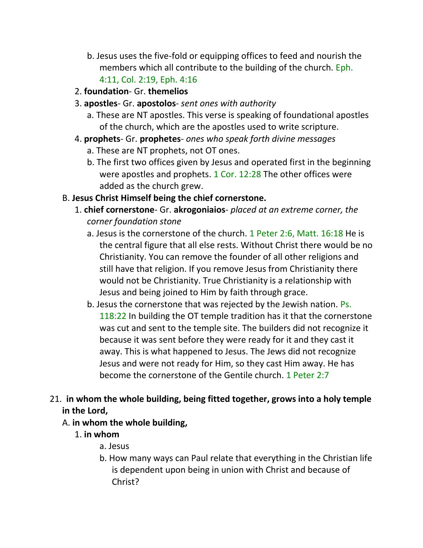- b. Jesus uses the five-fold or equipping offices to feed and nourish the members which all contribute to the building of the church. Eph. 4:11, Col. 2:19, Eph. 4:16
- 2. **foundation** Gr. **themelios**
- 3. **apostles** Gr. **apostolos** *sent ones with authority*
	- a. These are NT apostles. This verse is speaking of foundational apostles of the church, which are the apostles used to write scripture.
- 4. **prophets** Gr. **prophetes** *ones who speak forth divine messages*
	- a. These are NT prophets, not OT ones.
	- b. The first two offices given by Jesus and operated first in the beginning were apostles and prophets. 1 Cor. 12:28 The other offices were added as the church grew.
- B. **Jesus Christ Himself being the chief cornerstone.**
	- 1. **chief cornerstone** Gr. **akrogoniaios** *placed at an extreme corner, the corner foundation stone*
		- a. Jesus is the cornerstone of the church. 1 Peter 2:6, Matt. 16:18 He is the central figure that all else rests. Without Christ there would be no Christianity. You can remove the founder of all other religions and still have that religion. If you remove Jesus from Christianity there would not be Christianity. True Christianity is a relationship with Jesus and being joined to Him by faith through grace.
		- b. Jesus the cornerstone that was rejected by the Jewish nation. Ps. 118:22 In building the OT temple tradition has it that the cornerstone was cut and sent to the temple site. The builders did not recognize it because it was sent before they were ready for it and they cast it away. This is what happened to Jesus. The Jews did not recognize Jesus and were not ready for Him, so they cast Him away. He has become the cornerstone of the Gentile church. 1 Peter 2:7
- 21. **in whom the whole building, being fitted together, grows into a holy temple in the Lord,** 
	- A. **in whom the whole building,**
		- 1. **in whom**
			- a. Jesus
			- b. How many ways can Paul relate that everything in the Christian life is dependent upon being in union with Christ and because of Christ?